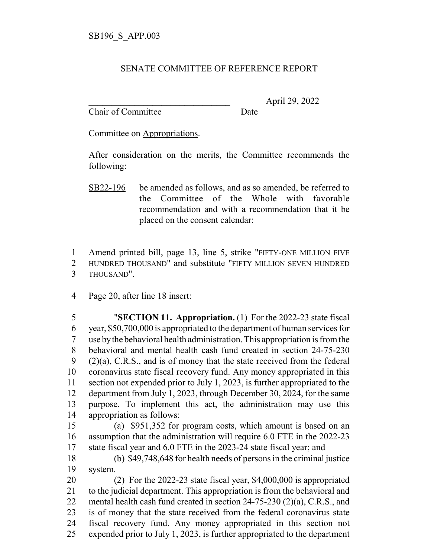## SENATE COMMITTEE OF REFERENCE REPORT

Chair of Committee Date

\_\_\_\_\_\_\_\_\_\_\_\_\_\_\_\_\_\_\_\_\_\_\_\_\_\_\_\_\_\_\_ April 29, 2022

Committee on Appropriations.

After consideration on the merits, the Committee recommends the following:

SB22-196 be amended as follows, and as so amended, be referred to the Committee of the Whole with favorable recommendation and with a recommendation that it be placed on the consent calendar:

 Amend printed bill, page 13, line 5, strike "FIFTY-ONE MILLION FIVE HUNDRED THOUSAND" and substitute "FIFTY MILLION SEVEN HUNDRED THOUSAND".

Page 20, after line 18 insert:

 "**SECTION 11. Appropriation.** (1) For the 2022-23 state fiscal year, \$50,700,000 is appropriated to the department of human services for use by the behavioral health administration. This appropriation is from the behavioral and mental health cash fund created in section 24-75-230  $(2)(a)$ , C.R.S., and is of money that the state received from the federal coronavirus state fiscal recovery fund. Any money appropriated in this section not expended prior to July 1, 2023, is further appropriated to the department from July 1, 2023, through December 30, 2024, for the same purpose. To implement this act, the administration may use this appropriation as follows:

 (a) \$951,352 for program costs, which amount is based on an assumption that the administration will require 6.0 FTE in the 2022-23 state fiscal year and 6.0 FTE in the 2023-24 state fiscal year; and

 (b) \$49,748,648 for health needs of persons in the criminal justice system.

 (2) For the 2022-23 state fiscal year, \$4,000,000 is appropriated to the judicial department. This appropriation is from the behavioral and mental health cash fund created in section 24-75-230 (2)(a), C.R.S., and is of money that the state received from the federal coronavirus state fiscal recovery fund. Any money appropriated in this section not expended prior to July 1, 2023, is further appropriated to the department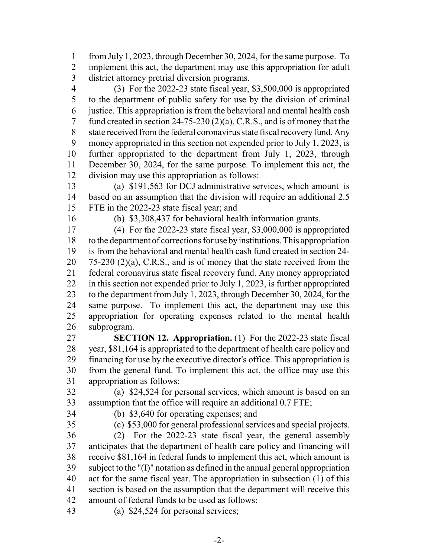from July 1, 2023, through December 30, 2024, for the same purpose. To implement this act, the department may use this appropriation for adult district attorney pretrial diversion programs.

 (3) For the 2022-23 state fiscal year, \$3,500,000 is appropriated to the department of public safety for use by the division of criminal justice. This appropriation is from the behavioral and mental health cash fund created in section 24-75-230 (2)(a), C.R.S., and is of money that the state received from the federal coronavirus state fiscal recovery fund. Any money appropriated in this section not expended prior to July 1, 2023, is further appropriated to the department from July 1, 2023, through December 30, 2024, for the same purpose. To implement this act, the division may use this appropriation as follows:

 (a) \$191,563 for DCJ administrative services, which amount is based on an assumption that the division will require an additional 2.5 FTE in the 2022-23 state fiscal year; and

(b) \$3,308,437 for behavioral health information grants.

 (4) For the 2022-23 state fiscal year, \$3,000,000 is appropriated to the department of corrections for use by institutions. This appropriation is from the behavioral and mental health cash fund created in section 24- 75-230 (2)(a), C.R.S., and is of money that the state received from the federal coronavirus state fiscal recovery fund. Any money appropriated in this section not expended prior to July 1, 2023, is further appropriated to the department from July 1, 2023, through December 30, 2024, for the same purpose. To implement this act, the department may use this appropriation for operating expenses related to the mental health subprogram.

 **SECTION 12. Appropriation.** (1) For the 2022-23 state fiscal year, \$81,164 is appropriated to the department of health care policy and financing for use by the executive director's office. This appropriation is from the general fund. To implement this act, the office may use this appropriation as follows:

 (a) \$24,524 for personal services, which amount is based on an assumption that the office will require an additional 0.7 FTE;

(b) \$3,640 for operating expenses; and

(c) \$53,000 for general professional services and special projects.

 (2) For the 2022-23 state fiscal year, the general assembly anticipates that the department of health care policy and financing will receive \$81,164 in federal funds to implement this act, which amount is subject to the "(I)" notation as defined in the annual general appropriation act for the same fiscal year. The appropriation in subsection (1) of this section is based on the assumption that the department will receive this amount of federal funds to be used as follows:

(a) \$24,524 for personal services;